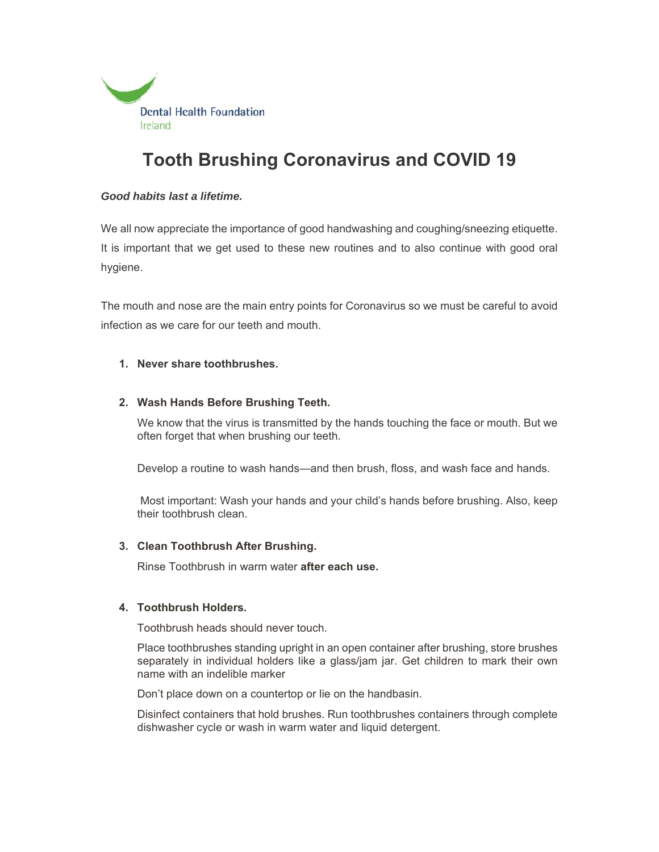

# **Tooth Brushing Coronavirus and COVID 19**

## *Good habits last a lifetime.*

We all now appreciate the importance of good handwashing and coughing/sneezing etiquette. It is important that we get used to these new routines and to also continue with good oral hygiene.

The mouth and nose are the main entry points for Coronavirus so we must be careful to avoid infection as we care for our teeth and mouth.

## **1. Never share toothbrushes.**

## **2. Wash Hands Before Brushing Teeth.**

We know that the virus is transmitted by the hands touching the face or mouth. But we often forget that when brushing our teeth.

Develop a routine to wash hands—and then brush, floss, and wash face and hands.

 Most important: Wash your hands and your child's hands before brushing. Also, keep their toothbrush clean.

#### **3. Clean Toothbrush After Brushing.**

Rinse Toothbrush in warm water **after each use.** 

#### **4. Toothbrush Holders.**

Toothbrush heads should never touch.

Place toothbrushes standing upright in an open container after brushing, store brushes separately in individual holders like a glass/jam jar. Get children to mark their own name with an indelible marker

Don't place down on a countertop or lie on the handbasin.

Disinfect containers that hold brushes. Run toothbrushes containers through complete dishwasher cycle or wash in warm water and liquid detergent.